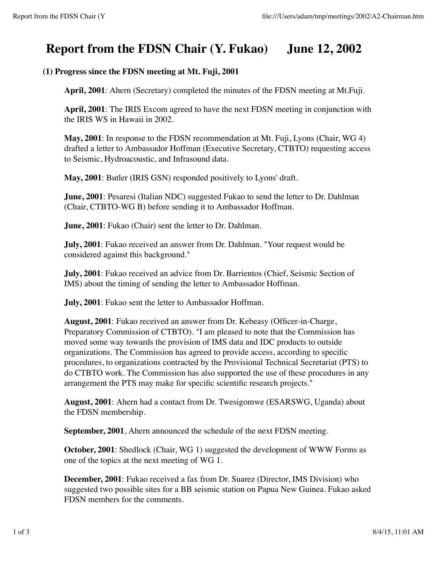# **Report from the FDSN Chair (Y. Fukao) June 12, 2002**

## **(1) Progress since the FDSN meeting at Mt. Fuji, 2001**

**April, 2001**: Ahern (Secretary) completed the minutes of the FDSN meeting at Mt.Fuji.

**April, 2001**: The IRIS Excom agreed to have the next FDSN meeting in conjunction with the IRIS WS in Hawaii in 2002.

**May, 2001**: In response to the FDSN recommendation at Mt. Fuji, Lyons (Chair, WG 4) drafted a letter to Ambassador Hoffman (Executive Secretary, CTBTO) requesting access to Seismic, Hydroacoustic, and Infrasound data.

**May, 2001**: Butler (IRIS GSN) responded positively to Lyons' draft.

**June, 2001**: Pesaresi (Italian NDC) suggested Fukao to send the letter to Dr. Dahlman (Chair, CTBTO-WG B) before sending it to Ambassador Hoffman.

**June, 2001**: Fukao (Chair) sent the letter to Dr. Dahlman.

**July, 2001**: Fukao received an answer from Dr. Dahlman. "Your request would be considered against this background."

**July, 2001**: Fukao received an advice from Dr. Barrientos (Chief, Seismic Section of IMS) about the timing of sending the letter to Ambassador Hoffman.

**July, 2001**: Fukao sent the letter to Ambassador Hoffman.

**August, 2001**: Fukao received an answer from Dr. Kebeasy (Officer-in-Charge, Preparatory Commission of CTBTO). "I am pleased to note that the Commission has moved some way towards the provision of IMS data and IDC products to outside organizations. The Commission has agreed to provide access, according to specific procedures, to organizations contracted by the Provisional Technical Secretariat (PTS) to do CTBTO work. The Commission has also supported the use of these procedures in any arrangement the PTS may make for specific scientific research projects."

**August, 2001**: Ahern had a contact from Dr. Twesigomwe (ESARSWG, Uganda) about the FDSN membership.

**September, 2001**, Ahern announced the schedule of the next FDSN meeting.

**October, 2001**: Shedlock (Chair, WG 1) suggested the development of WWW Forms as one of the topics at the next meeting of WG 1.

**December, 2001**: Fukao received a fax from Dr. Suarez (Director, IMS Division) who suggested two possible sites for a BB seismic station on Papua New Guinea. Fukao asked FDSN members for the comments.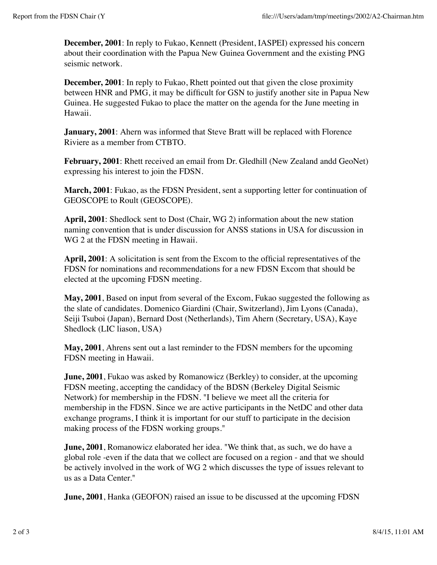**December, 2001**: In reply to Fukao, Kennett (President, IASPEI) expressed his concern about their coordination with the Papua New Guinea Government and the existing PNG seismic network.

**December, 2001**: In reply to Fukao, Rhett pointed out that given the close proximity between HNR and PMG, it may be difficult for GSN to justify another site in Papua New Guinea. He suggested Fukao to place the matter on the agenda for the June meeting in Hawaii.

**January, 2001**: Ahern was informed that Steve Bratt will be replaced with Florence Riviere as a member from CTBTO.

February, 2001: Rhett received an email from Dr. Gledhill (New Zealand andd GeoNet) expressing his interest to join the FDSN.

**March, 2001**: Fukao, as the FDSN President, sent a supporting letter for continuation of GEOSCOPE to Roult (GEOSCOPE).

**April, 2001**: Shedlock sent to Dost (Chair, WG 2) information about the new station naming convention that is under discussion for ANSS stations in USA for discussion in WG 2 at the FDSN meeting in Hawaii.

**April, 2001**: A solicitation is sent from the Excom to the official representatives of the FDSN for nominations and recommendations for a new FDSN Excom that should be elected at the upcoming FDSN meeting.

**May, 2001**, Based on input from several of the Excom, Fukao suggested the following as the slate of candidates. Domenico Giardini (Chair, Switzerland), Jim Lyons (Canada), Seiji Tsuboi (Japan), Bernard Dost (Netherlands), Tim Ahern (Secretary, USA), Kaye Shedlock (LIC liason, USA)

**May, 2001**, Ahrens sent out a last reminder to the FDSN members for the upcoming FDSN meeting in Hawaii.

**June, 2001**, Fukao was asked by Romanowicz (Berkley) to consider, at the upcoming FDSN meeting, accepting the candidacy of the BDSN (Berkeley Digital Seismic Network) for membership in the FDSN. "I believe we meet all the criteria for membership in the FDSN. Since we are active participants in the NetDC and other data exchange programs, I think it is important for our stuff to participate in the decision making process of the FDSN working groups."

**June, 2001**, Romanowicz elaborated her idea. "We think that, as such, we do have a global role -even if the data that we collect are focused on a region - and that we should be actively involved in the work of WG 2 which discusses the type of issues relevant to us as a Data Center."

**June, 2001**, Hanka (GEOFON) raised an issue to be discussed at the upcoming FDSN